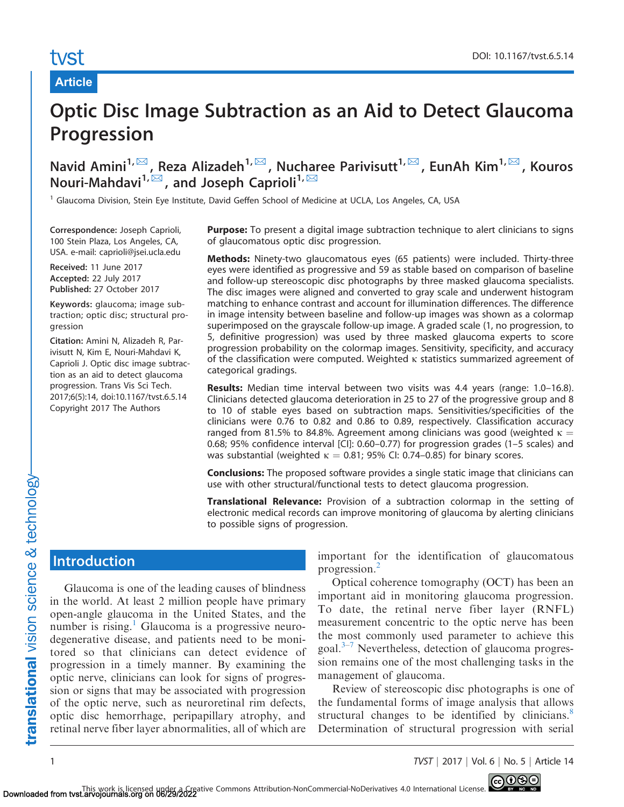## tyst

#### Article

# Optic Disc Image Subtraction as an Aid to Detect Glaucoma Progression

Navid Amini $^{1,\boxtimes}$  $^{1,\boxtimes}$  $^{1,\boxtimes}$ , Reza Alizadeh $^{1,\boxtimes}$ , Nucharee Parivisutt $^{1,\boxtimes}$ , EunAh Kim $^{1,\boxtimes}$ , Kouros Nouri-Mahdavi $^{1, \boxtimes}$ , and Joseph Caprioli $^{1, \boxtimes}$ 

<sup>1</sup> Glaucoma Division, Stein Eye Institute, David Geffen School of Medicine at UCLA, Los Angeles, CA, USA

Correspondence: Joseph Caprioli, 100 Stein Plaza, Los Angeles, CA, USA. e-mail: caprioli@jsei.ucla.edu

Received: 11 June 2017 Accepted: 22 July 2017 Published: 27 October 2017

Keywords: glaucoma; image subtraction; optic disc; structural progression

Citation: Amini N, Alizadeh R, Parivisutt N, Kim E, Nouri-Mahdavi K, Caprioli J. Optic disc image subtraction as an aid to detect glaucoma progression. Trans Vis Sci Tech. 2017;6(5):14, doi:10.1167/tvst.6.5.14 Copyright 2017 The Authors

Purpose: To present a digital image subtraction technique to alert clinicians to signs of glaucomatous optic disc progression.

Methods: Ninety-two glaucomatous eyes (65 patients) were included. Thirty-three eyes were identified as progressive and 59 as stable based on comparison of baseline and follow-up stereoscopic disc photographs by three masked glaucoma specialists. The disc images were aligned and converted to gray scale and underwent histogram matching to enhance contrast and account for illumination differences. The difference in image intensity between baseline and follow-up images was shown as a colormap superimposed on the grayscale follow-up image. A graded scale (1, no progression, to 5, definitive progression) was used by three masked glaucoma experts to score progression probability on the colormap images. Sensitivity, specificity, and accuracy of the classification were computed. Weighted  $\kappa$  statistics summarized agreement of categorical gradings.

Results: Median time interval between two visits was 4.4 years (range: 1.0-16.8). Clinicians detected glaucoma deterioration in 25 to 27 of the progressive group and 8 to 10 of stable eyes based on subtraction maps. Sensitivities/specificities of the clinicians were 0.76 to 0.82 and 0.86 to 0.89, respectively. Classification accuracy ranged from 81.5% to 84.8%. Agreement among clinicians was good (weighted  $\kappa =$ 0.68; 95% confidence interval [CI]: 0.60–0.77) for progression grades (1–5 scales) and was substantial (weighted  $\kappa = 0.81$ ; 95% CI: 0.74–0.85) for binary scores.

**Conclusions:** The proposed software provides a single static image that clinicians can use with other structural/functional tests to detect glaucoma progression.

Translational Relevance: Provision of a subtraction colormap in the setting of electronic medical records can improve monitoring of glaucoma by alerting clinicians to possible signs of progression.

## **Introduction**

Glaucoma is one of the leading causes of blindness in the world. At least 2 million people have primary open-angle glaucoma in the United States, and the number is rising.<sup>[1](#page-8-0)</sup> Glaucoma is a progressive neurodegenerative disease, and patients need to be monitored so that clinicians can detect evidence of progression in a timely manner. By examining the optic nerve, clinicians can look for signs of progression or signs that may be associated with progression of the optic nerve, such as neuroretinal rim defects, optic disc hemorrhage, peripapillary atrophy, and retinal nerve fiber layer abnormalities, all of which are important for the identification of glaucomatous progression.<sup>2</sup>

Optical coherence tomography (OCT) has been an important aid in monitoring glaucoma progression. To date, the retinal nerve fiber layer (RNFL) measurement concentric to the optic nerve has been the most commonly used parameter to achieve this  $\text{goal}^{3-7}$  Nevertheless, detection of glaucoma progression remains one of the most challenging tasks in the management of glaucoma.

Review of stereoscopic disc photographs is one of the fundamental forms of image analysis that allows structural changes to be identified by clinicians.<sup>8</sup> Determination of structural progression with serial

1 TVST j 2017 j Vol. 6 j No. 5 j Article 14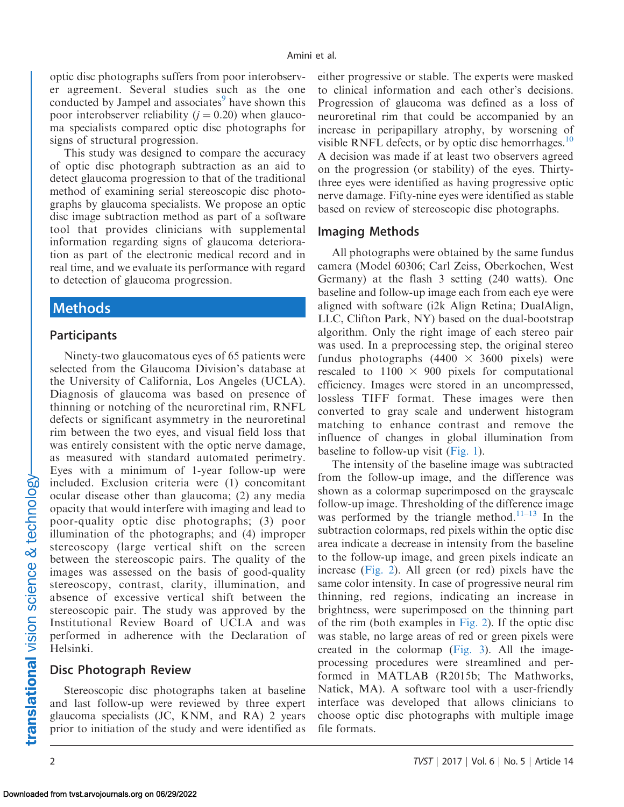optic disc photographs suffers from poor interobserver agreement. Several studies such as the one conducted by Jampel and associates<sup>[9](#page-8-0)</sup> have shown this poor interobserver reliability  $(j = 0.20)$  when glaucoma specialists compared optic disc photographs for signs of structural progression.

This study was designed to compare the accuracy of optic disc photograph subtraction as an aid to detect glaucoma progression to that of the traditional method of examining serial stereoscopic disc photographs by glaucoma specialists. We propose an optic disc image subtraction method as part of a software tool that provides clinicians with supplemental information regarding signs of glaucoma deterioration as part of the electronic medical record and in real time, and we evaluate its performance with regard to detection of glaucoma progression.

### **Methods**

#### **Participants**

Ninety-two glaucomatous eyes of 65 patients were selected from the Glaucoma Division's database at the University of California, Los Angeles (UCLA). Diagnosis of glaucoma was based on presence of thinning or notching of the neuroretinal rim, RNFL defects or significant asymmetry in the neuroretinal rim between the two eyes, and visual field loss that was entirely consistent with the optic nerve damage, as measured with standard automated perimetry. Eyes with a minimum of 1-year follow-up were included. Exclusion criteria were (1) concomitant ocular disease other than glaucoma; (2) any media opacity that would interfere with imaging and lead to poor-quality optic disc photographs; (3) poor illumination of the photographs; and (4) improper stereoscopy (large vertical shift on the screen between the stereoscopic pairs. The quality of the images was assessed on the basis of good-quality stereoscopy, contrast, clarity, illumination, and absence of excessive vertical shift between the stereoscopic pair. The study was approved by the Institutional Review Board of UCLA and was performed in adherence with the Declaration of Helsinki.

#### Disc Photograph Review

Stereoscopic disc photographs taken at baseline and last follow-up were reviewed by three expert glaucoma specialists (JC, KNM, and RA) 2 years prior to initiation of the study and were identified as either progressive or stable. The experts were masked to clinical information and each other's decisions. Progression of glaucoma was defined as a loss of neuroretinal rim that could be accompanied by an increase in peripapillary atrophy, by worsening of visible RNFL defects, or by optic disc hemorrhages.<sup>[10](#page-8-0)</sup> A decision was made if at least two observers agreed on the progression (or stability) of the eyes. Thirtythree eyes were identified as having progressive optic nerve damage. Fifty-nine eyes were identified as stable based on review of stereoscopic disc photographs.

#### Imaging Methods

All photographs were obtained by the same fundus camera (Model 60306; Carl Zeiss, Oberkochen, West Germany) at the flash 3 setting (240 watts). One baseline and follow-up image each from each eye were aligned with software (i2k Align Retina; DualAlign, LLC, Clifton Park, NY) based on the dual-bootstrap algorithm. Only the right image of each stereo pair was used. In a preprocessing step, the original stereo fundus photographs  $(4400 \times 3600)$  pixels) were rescaled to  $1100 \times 900$  pixels for computational efficiency. Images were stored in an uncompressed, lossless TIFF format. These images were then converted to gray scale and underwent histogram matching to enhance contrast and remove the influence of changes in global illumination from baseline to follow-up visit ([Fig. 1](#page-2-0)).

The intensity of the baseline image was subtracted from the follow-up image, and the difference was shown as a colormap superimposed on the grayscale follow-up image. Thresholding of the difference image was performed by the triangle method.<sup>11–13</sup> In the subtraction colormaps, red pixels within the optic disc area indicate a decrease in intensity from the baseline to the follow-up image, and green pixels indicate an increase ([Fig. 2\)](#page-3-0). All green (or red) pixels have the same color intensity. In case of progressive neural rim thinning, red regions, indicating an increase in brightness, were superimposed on the thinning part of the rim (both examples in [Fig. 2](#page-3-0)). If the optic disc was stable, no large areas of red or green pixels were created in the colormap ([Fig. 3\)](#page-3-0). All the imageprocessing procedures were streamlined and performed in MATLAB (R2015b; The Mathworks, Natick, MA). A software tool with a user-friendly interface was developed that allows clinicians to choose optic disc photographs with multiple image file formats.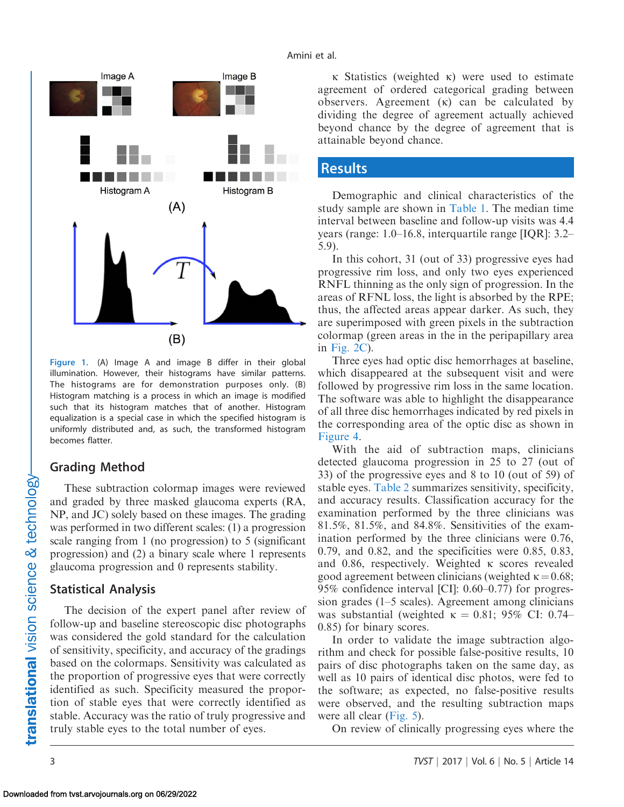<span id="page-2-0"></span>

Figure 1. (A) Image A and image B differ in their global illumination. However, their histograms have similar patterns. The histograms are for demonstration purposes only. (B) Histogram matching is a process in which an image is modified such that its histogram matches that of another. Histogram equalization is a special case in which the specified histogram is uniformly distributed and, as such, the transformed histogram becomes flatter.

#### Grading Method

These subtraction colormap images were reviewed and graded by three masked glaucoma experts (RA, NP, and JC) solely based on these images. The grading was performed in two different scales: (1) a progression scale ranging from 1 (no progression) to 5 (significant progression) and (2) a binary scale where 1 represents glaucoma progression and 0 represents stability.

#### Statistical Analysis

The decision of the expert panel after review of follow-up and baseline stereoscopic disc photographs was considered the gold standard for the calculation of sensitivity, specificity, and accuracy of the gradings based on the colormaps. Sensitivity was calculated as the proportion of progressive eyes that were correctly identified as such. Specificity measured the proportion of stable eyes that were correctly identified as stable. Accuracy was the ratio of truly progressive and truly stable eyes to the total number of eyes.

 $\kappa$  Statistics (weighted  $\kappa$ ) were used to estimate agreement of ordered categorical grading between observers. Agreement  $(\kappa)$  can be calculated by dividing the degree of agreement actually achieved beyond chance by the degree of agreement that is attainable beyond chance.

#### **Results**

Demographic and clinical characteristics of the study sample are shown in [Table 1.](#page-4-0) The median time interval between baseline and follow-up visits was 4.4 years (range: 1.0–16.8, interquartile range [IQR]: 3.2– 5.9).

In this cohort, 31 (out of 33) progressive eyes had progressive rim loss, and only two eyes experienced RNFL thinning as the only sign of progression. In the areas of RFNL loss, the light is absorbed by the RPE; thus, the affected areas appear darker. As such, they are superimposed with green pixels in the subtraction colormap (green areas in the in the peripapillary area in [Fig. 2C](#page-3-0)).

Three eyes had optic disc hemorrhages at baseline, which disappeared at the subsequent visit and were followed by progressive rim loss in the same location. The software was able to highlight the disappearance of all three disc hemorrhages indicated by red pixels in the corresponding area of the optic disc as shown in [Figure 4.](#page-4-0)

With the aid of subtraction maps, clinicians detected glaucoma progression in 25 to 27 (out of 33) of the progressive eyes and 8 to 10 (out of 59) of stable eyes. [Table 2](#page-5-0) summarizes sensitivity, specificity, and accuracy results. Classification accuracy for the examination performed by the three clinicians was 81.5%, 81.5%, and 84.8%. Sensitivities of the examination performed by the three clinicians were 0.76, 0.79, and 0.82, and the specificities were 0.85, 0.83, and 0.86, respectively. Weighted  $\kappa$  scores revealed good agreement between clinicians (weighted  $\kappa = 0.68$ ; 95% confidence interval [CI]: 0.60–0.77) for progression grades (1–5 scales). Agreement among clinicians was substantial (weighted  $\kappa = 0.81$ ; 95% CI: 0.74– 0.85) for binary scores.

In order to validate the image subtraction algorithm and check for possible false-positive results, 10 pairs of disc photographs taken on the same day, as well as 10 pairs of identical disc photos, were fed to the software; as expected, no false-positive results were observed, and the resulting subtraction maps were all clear ([Fig. 5\)](#page-5-0).

On review of clinically progressing eyes where the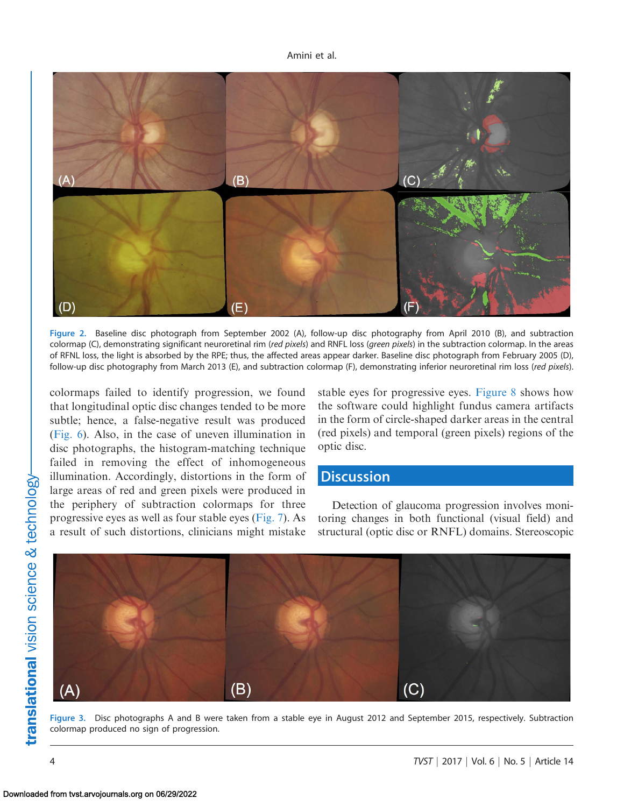<span id="page-3-0"></span>

Figure 2. Baseline disc photograph from September 2002 (A), follow-up disc photography from April 2010 (B), and subtraction colormap (C), demonstrating significant neuroretinal rim (red pixels) and RNFL loss (green pixels) in the subtraction colormap. In the areas of RFNL loss, the light is absorbed by the RPE; thus, the affected areas appear darker. Baseline disc photograph from February 2005 (D), follow-up disc photography from March 2013 (E), and subtraction colormap (F), demonstrating inferior neuroretinal rim loss (red pixels).

colormaps failed to identify progression, we found that longitudinal optic disc changes tended to be more subtle; hence, a false-negative result was produced ([Fig. 6](#page-6-0)). Also, in the case of uneven illumination in disc photographs, the histogram-matching technique failed in removing the effect of inhomogeneous illumination. Accordingly, distortions in the form of large areas of red and green pixels were produced in the periphery of subtraction colormaps for three progressive eyes as well as four stable eyes ([Fig. 7\)](#page-6-0). As a result of such distortions, clinicians might mistake

stable eyes for progressive eyes. [Figure 8](#page-7-0) shows how the software could highlight fundus camera artifacts in the form of circle-shaped darker areas in the central (red pixels) and temporal (green pixels) regions of the optic disc.

### **Discussion**

Detection of glaucoma progression involves monitoring changes in both functional (visual field) and structural (optic disc or RNFL) domains. Stereoscopic



Figure 3. Disc photographs A and B were taken from a stable eye in August 2012 and September 2015, respectively. Subtraction colormap produced no sign of progression.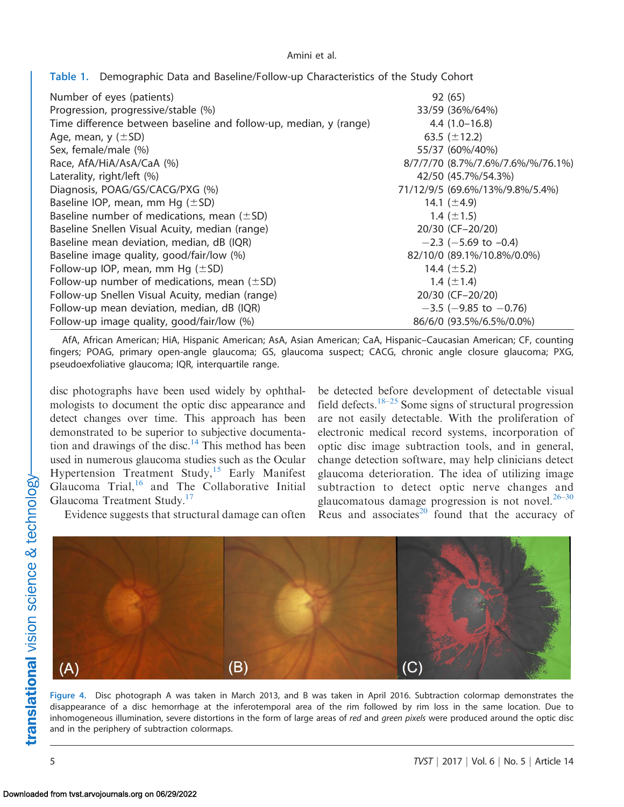Amini et al.

<span id="page-4-0"></span>Table 1. Demographic Data and Baseline/Follow-up Characteristics of the Study Cohort

| Number of eyes (patients)                                         | 92 (65)                           |
|-------------------------------------------------------------------|-----------------------------------|
| Progression, progressive/stable (%)                               | 33/59 (36%/64%)                   |
| Time difference between baseline and follow-up, median, y (range) | $4.4(1.0-16.8)$                   |
| Age, mean, $y$ ( $\pm$ SD)                                        | 63.5 $(\pm 12.2)$                 |
| Sex, female/male (%)                                              | 55/37 (60%/40%)                   |
| Race, AfA/HiA/AsA/CaA (%)                                         | 8/7/7/70 (8.7%/7.6%/7.6%/%/76.1%) |
| Laterality, right/left (%)                                        | 42/50 (45.7%/54.3%)               |
| Diagnosis, POAG/GS/CACG/PXG (%)                                   | 71/12/9/5 (69.6%/13%/9.8%/5.4%)   |
| Baseline IOP, mean, mm Hg $(\pm SD)$                              | 14.1 $(\pm 4.9)$                  |
| Baseline number of medications, mean $(\pm SD)$                   | 1.4 $(\pm 1.5)$                   |
| Baseline Snellen Visual Acuity, median (range)                    | 20/30 (CF-20/20)                  |
| Baseline mean deviation, median, dB (IQR)                         | $-2.3$ ( $-5.69$ to $-0.4$ )      |
| Baseline image quality, good/fair/low (%)                         | 82/10/0 (89.1%/10.8%/0.0%)        |
| Follow-up IOP, mean, mm Hg $(\pm SD)$                             | 14.4 $(\pm 5.2)$                  |
| Follow-up number of medications, mean $(\pm SD)$                  | 1.4 $(\pm 1.4)$                   |
| Follow-up Snellen Visual Acuity, median (range)                   | 20/30 (CF-20/20)                  |
| Follow-up mean deviation, median, dB (IQR)                        | $-3.5$ (-9.85 to -0.76)           |
| Follow-up image quality, good/fair/low (%)                        | 86/6/0 (93.5%/6.5%/0.0%)          |

AfA, African American; HiA, Hispanic American; AsA, Asian American; CaA, Hispanic–Caucasian American; CF, counting fingers; POAG, primary open-angle glaucoma; GS, glaucoma suspect; CACG, chronic angle closure glaucoma; PXG, pseudoexfoliative glaucoma; IQR, interquartile range.

disc photographs have been used widely by ophthalmologists to document the optic disc appearance and detect changes over time. This approach has been demonstrated to be superior to subjective documentation and drawings of the disc.<sup>14</sup> This method has been used in numerous glaucoma studies such as the Ocular Hypertension Treatment Study,<sup>[15](#page-8-0)</sup> Early Manifest Glaucoma Trial, $16$  and The Collaborative Initial Glaucoma Treatment Study.[17](#page-9-0)

be detected before development of detectable visual field defects.<sup>18–[25](#page-9-0)</sup> Some signs of structural progression are not easily detectable. With the proliferation of electronic medical record systems, incorporation of optic disc image subtraction tools, and in general, change detection software, may help clinicians detect glaucoma deterioration. The idea of utilizing image subtraction to detect optic nerve changes and glaucomatous damage progression is not novel. $26-30$ Reus and associates $20$  found that the accuracy of

Evidence suggests that structural damage can often



Figure 4. Disc photograph A was taken in March 2013, and B was taken in April 2016. Subtraction colormap demonstrates the disappearance of a disc hemorrhage at the inferotemporal area of the rim followed by rim loss in the same location. Due to inhomogeneous illumination, severe distortions in the form of large areas of red and green pixels were produced around the optic disc and in the periphery of subtraction colormaps.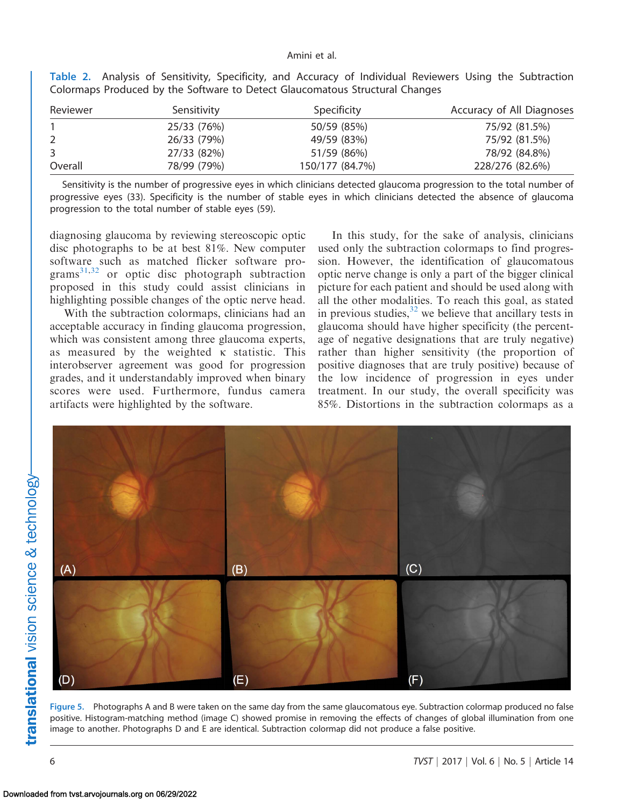| Reviewer | Sensitivity | Specificity     | Accuracy of All Diagnoses |
|----------|-------------|-----------------|---------------------------|
|          | 25/33 (76%) | 50/59 (85%)     | 75/92 (81.5%)             |
|          | 26/33 (79%) | 49/59 (83%)     | 75/92 (81.5%)             |
|          | 27/33 (82%) | 51/59 (86%)     | 78/92 (84.8%)             |
| Overall  | 78/99 (79%) | 150/177 (84.7%) | 228/276 (82.6%)           |

<span id="page-5-0"></span>Table 2. Analysis of Sensitivity, Specificity, and Accuracy of Individual Reviewers Using the Subtraction Colormaps Produced by the Software to Detect Glaucomatous Structural Changes

Sensitivity is the number of progressive eyes in which clinicians detected glaucoma progression to the total number of progressive eyes (33). Specificity is the number of stable eyes in which clinicians detected the absence of glaucoma progression to the total number of stable eyes (59).

diagnosing glaucoma by reviewing stereoscopic optic disc photographs to be at best 81%. New computer software such as matched flicker software pro- $grams<sup>31,32</sup>$  $grams<sup>31,32</sup>$  $grams<sup>31,32</sup>$  or optic disc photograph subtraction proposed in this study could assist clinicians in highlighting possible changes of the optic nerve head.

With the subtraction colormaps, clinicians had an acceptable accuracy in finding glaucoma progression, which was consistent among three glaucoma experts, as measured by the weighted  $\kappa$  statistic. This interobserver agreement was good for progression grades, and it understandably improved when binary scores were used. Furthermore, fundus camera artifacts were highlighted by the software.

In this study, for the sake of analysis, clinicians used only the subtraction colormaps to find progression. However, the identification of glaucomatous optic nerve change is only a part of the bigger clinical picture for each patient and should be used along with all the other modalities. To reach this goal, as stated in the case incommence to contribute that  $\sin \theta$  gives  $\sin \theta$  and  $\sin \theta$  and  $\sin \theta$  are believe that ancillary tests in glaucoma should have higher specificity (the percentage of negative designations that are truly negative) rather than higher sensitivity (the proportion of positive diagnoses that are truly positive) because of the low incidence of progression in eyes under treatment. In our study, the overall specificity was 85%. Distortions in the subtraction colormaps as a



Figure 5. Photographs A and B were taken on the same day from the same glaucomatous eye. Subtraction colormap produced no false positive. Histogram-matching method (image C) showed promise in removing the effects of changes of global illumination from one image to another. Photographs D and E are identical. Subtraction colormap did not produce a false positive.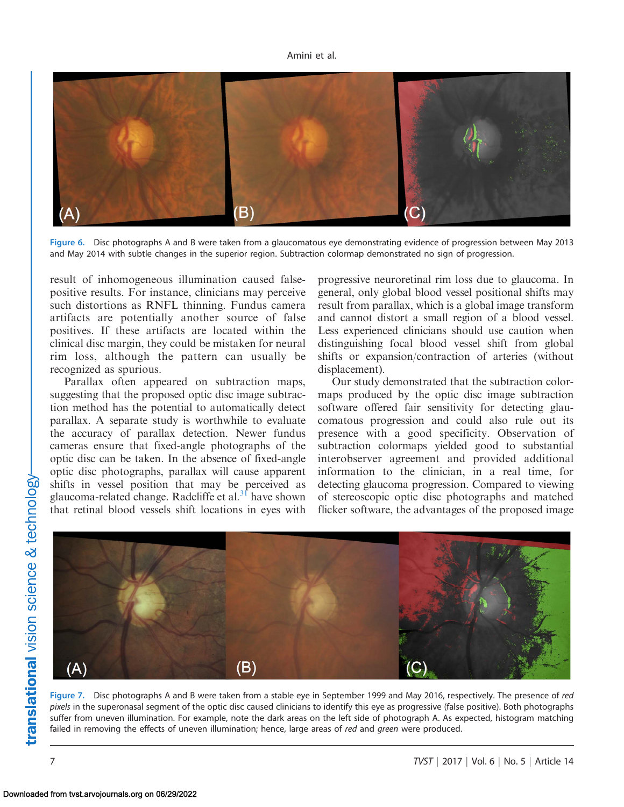<span id="page-6-0"></span>

Figure 6. Disc photographs A and B were taken from a glaucomatous eye demonstrating evidence of progression between May 2013 and May 2014 with subtle changes in the superior region. Subtraction colormap demonstrated no sign of progression.

result of inhomogeneous illumination caused falsepositive results. For instance, clinicians may perceive such distortions as RNFL thinning. Fundus camera artifacts are potentially another source of false positives. If these artifacts are located within the clinical disc margin, they could be mistaken for neural rim loss, although the pattern can usually be recognized as spurious.

Parallax often appeared on subtraction maps, suggesting that the proposed optic disc image subtraction method has the potential to automatically detect parallax. A separate study is worthwhile to evaluate the accuracy of parallax detection. Newer fundus cameras ensure that fixed-angle photographs of the optic disc can be taken. In the absence of fixed-angle optic disc photographs, parallax will cause apparent shifts in vessel position that may be perceived as glaucoma-related change. Radcliffe et al. $31$  have shown that retinal blood vessels shift locations in eyes with

progressive neuroretinal rim loss due to glaucoma. In general, only global blood vessel positional shifts may result from parallax, which is a global image transform and cannot distort a small region of a blood vessel. Less experienced clinicians should use caution when distinguishing focal blood vessel shift from global shifts or expansion/contraction of arteries (without displacement).

Our study demonstrated that the subtraction colormaps produced by the optic disc image subtraction software offered fair sensitivity for detecting glaucomatous progression and could also rule out its presence with a good specificity. Observation of subtraction colormaps yielded good to substantial interobserver agreement and provided additional information to the clinician, in a real time, for detecting glaucoma progression. Compared to viewing of stereoscopic optic disc photographs and matched flicker software, the advantages of the proposed image



Figure 7. Disc photographs A and B were taken from a stable eye in September 1999 and May 2016, respectively. The presence of red pixels in the superonasal segment of the optic disc caused clinicians to identify this eye as progressive (false positive). Both photographs suffer from uneven illumination. For example, note the dark areas on the left side of photograph A. As expected, histogram matching failed in removing the effects of uneven illumination; hence, large areas of red and green were produced.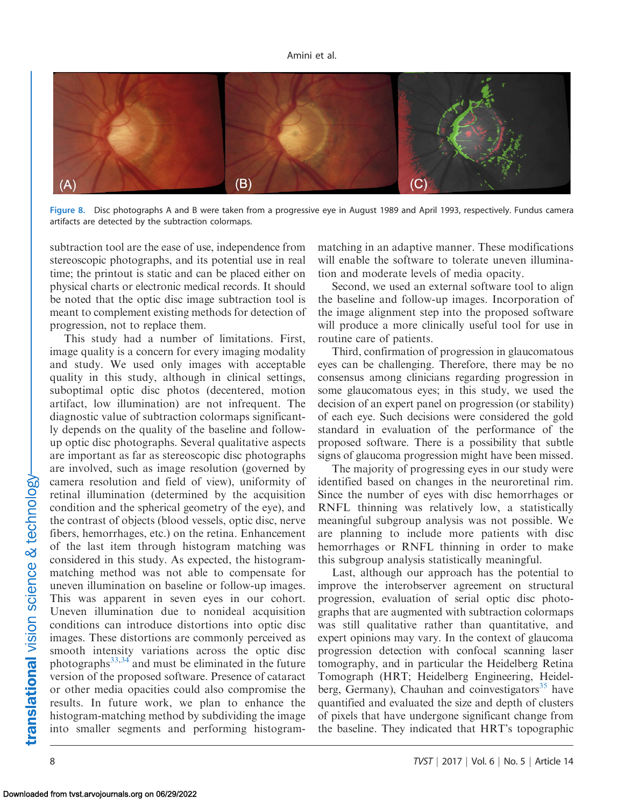#### Amini et al.

<span id="page-7-0"></span>

Figure 8. Disc photographs A and B were taken from a progressive eye in August 1989 and April 1993, respectively. Fundus camera artifacts are detected by the subtraction colormaps.

subtraction tool are the ease of use, independence from stereoscopic photographs, and its potential use in real time; the printout is static and can be placed either on physical charts or electronic medical records. It should be noted that the optic disc image subtraction tool is meant to complement existing methods for detection of progression, not to replace them.

This study had a number of limitations. First, image quality is a concern for every imaging modality and study. We used only images with acceptable quality in this study, although in clinical settings, suboptimal optic disc photos (decentered, motion artifact, low illumination) are not infrequent. The diagnostic value of subtraction colormaps significantly depends on the quality of the baseline and followup optic disc photographs. Several qualitative aspects are important as far as stereoscopic disc photographs are involved, such as image resolution (governed by camera resolution and field of view), uniformity of retinal illumination (determined by the acquisition condition and the spherical geometry of the eye), and the contrast of objects (blood vessels, optic disc, nerve fibers, hemorrhages, etc.) on the retina. Enhancement of the last item through histogram matching was considered in this study. As expected, the histogrammatching method was not able to compensate for uneven illumination on baseline or follow-up images. This was apparent in seven eyes in our cohort. Uneven illumination due to nonideal acquisition conditions can introduce distortions into optic disc images. These distortions are commonly perceived as smooth intensity variations across the optic disc photographs $33,34$  $33,34$  and must be eliminated in the future version of the proposed software. Presence of cataract or other media opacities could also compromise the results. In future work, we plan to enhance the histogram-matching method by subdividing the image into smaller segments and performing histogrammatching in an adaptive manner. These modifications will enable the software to tolerate uneven illumination and moderate levels of media opacity.

Second, we used an external software tool to align the baseline and follow-up images. Incorporation of the image alignment step into the proposed software will produce a more clinically useful tool for use in routine care of patients.

Third, confirmation of progression in glaucomatous eyes can be challenging. Therefore, there may be no consensus among clinicians regarding progression in some glaucomatous eyes; in this study, we used the decision of an expert panel on progression (or stability) of each eye. Such decisions were considered the gold standard in evaluation of the performance of the proposed software. There is a possibility that subtle signs of glaucoma progression might have been missed.

The majority of progressing eyes in our study were identified based on changes in the neuroretinal rim. Since the number of eyes with disc hemorrhages or RNFL thinning was relatively low, a statistically meaningful subgroup analysis was not possible. We are planning to include more patients with disc hemorrhages or RNFL thinning in order to make this subgroup analysis statistically meaningful.

Last, although our approach has the potential to improve the interobserver agreement on structural progression, evaluation of serial optic disc photographs that are augmented with subtraction colormaps was still qualitative rather than quantitative, and expert opinions may vary. In the context of glaucoma progression detection with confocal scanning laser tomography, and in particular the Heidelberg Retina Tomograph (HRT; Heidelberg Engineering, Heidelberg, Germany), Chauhan and coinvestigators $35$  have quantified and evaluated the size and depth of clusters of pixels that have undergone significant change from the baseline. They indicated that HRT's topographic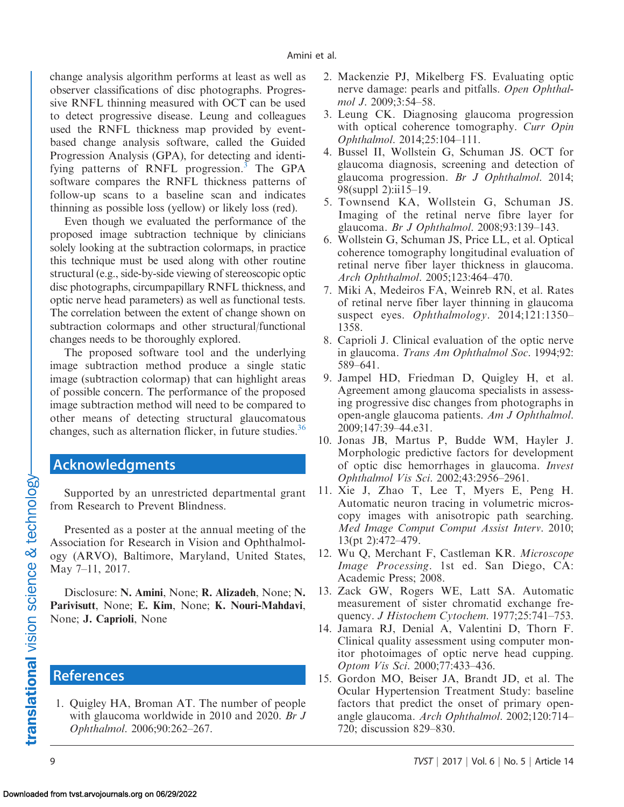<span id="page-8-0"></span>change analysis algorithm performs at least as well as observer classifications of disc photographs. Progressive RNFL thinning measured with OCT can be used to detect progressive disease. Leung and colleagues used the RNFL thickness map provided by eventbased change analysis software, called the Guided Progression Analysis (GPA), for detecting and identifying patterns of RNFL progression.<sup>3</sup> The GPA software compares the RNFL thickness patterns of follow-up scans to a baseline scan and indicates thinning as possible loss (yellow) or likely loss (red).

Even though we evaluated the performance of the proposed image subtraction technique by clinicians solely looking at the subtraction colormaps, in practice this technique must be used along with other routine structural (e.g., side-by-side viewing of stereoscopic optic disc photographs, circumpapillary RNFL thickness, and optic nerve head parameters) as well as functional tests. The correlation between the extent of change shown on subtraction colormaps and other structural/functional changes needs to be thoroughly explored.

The proposed software tool and the underlying image subtraction method produce a single static image (subtraction colormap) that can highlight areas of possible concern. The performance of the proposed image subtraction method will need to be compared to other means of detecting structural glaucomatous changes, such as alternation flicker, in future studies. $36$ 

## Acknowledgments

Supported by an unrestricted departmental grant from Research to Prevent Blindness.

Presented as a poster at the annual meeting of the Association for Research in Vision and Ophthalmology (ARVO), Baltimore, Maryland, United States, May 7–11, 2017.

Disclosure: N. Amini, None; R. Alizadeh, None; N. Parivisutt, None; E. Kim, None; K. Nouri-Mahdavi, None; J. Caprioli, None

#### References

1. Quigley HA, Broman AT. The number of people with glaucoma worldwide in 2010 and 2020. Br J Ophthalmol. 2006;90:262–267.

- 2. Mackenzie PJ, Mikelberg FS. Evaluating optic nerve damage: pearls and pitfalls. Open Ophthalmol J. 2009;3:54–58.
- 3. Leung CK. Diagnosing glaucoma progression with optical coherence tomography. Curr Opin Ophthalmol. 2014;25:104–111.
- 4. Bussel II, Wollstein G, Schuman JS. OCT for glaucoma diagnosis, screening and detection of glaucoma progression. Br J Ophthalmol. 2014; 98(suppl 2):ii15–19.
- 5. Townsend KA, Wollstein G, Schuman JS. Imaging of the retinal nerve fibre layer for glaucoma. Br J Ophthalmol. 2008;93:139–143.
- 6. Wollstein G, Schuman JS, Price LL, et al. Optical coherence tomography longitudinal evaluation of retinal nerve fiber layer thickness in glaucoma. Arch Ophthalmol. 2005;123:464–470.
- 7. Miki A, Medeiros FA, Weinreb RN, et al. Rates of retinal nerve fiber layer thinning in glaucoma suspect eyes. Ophthalmology. 2014;121:1350– 1358.
- 8. Caprioli J. Clinical evaluation of the optic nerve in glaucoma. Trans Am Ophthalmol Soc. 1994;92: 589–641.
- 9. Jampel HD, Friedman D, Quigley H, et al. Agreement among glaucoma specialists in assessing progressive disc changes from photographs in open-angle glaucoma patients. Am J Ophthalmol. 2009;147:39–44.e31.
- 10. Jonas JB, Martus P, Budde WM, Hayler J. Morphologic predictive factors for development of optic disc hemorrhages in glaucoma. Invest Ophthalmol Vis Sci. 2002;43:2956–2961.
- 11. Xie J, Zhao T, Lee T, Myers E, Peng H. Automatic neuron tracing in volumetric microscopy images with anisotropic path searching. Med Image Comput Comput Assist Interv. 2010; 13(pt 2):472–479.
- 12. Wu Q, Merchant F, Castleman KR. Microscope Image Processing. 1st ed. San Diego, CA: Academic Press; 2008.
- 13. Zack GW, Rogers WE, Latt SA. Automatic measurement of sister chromatid exchange frequency. J Histochem Cytochem. 1977;25:741–753.
- 14. Jamara RJ, Denial A, Valentini D, Thorn F. Clinical quality assessment using computer monitor photoimages of optic nerve head cupping. Optom Vis Sci. 2000;77:433–436.
- 15. Gordon MO, Beiser JA, Brandt JD, et al. The Ocular Hypertension Treatment Study: baseline factors that predict the onset of primary openangle glaucoma. Arch Ophthalmol. 2002;120:714– 720; discussion 829–830.